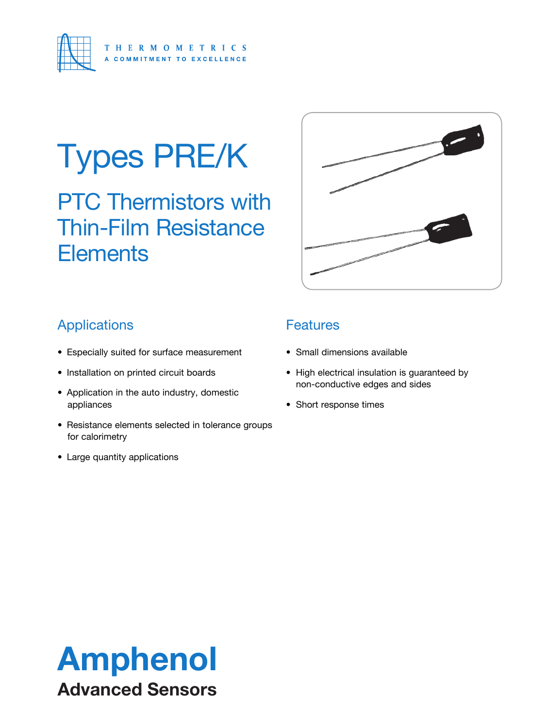

# Types PRE/K

PTC Thermistors with Thin-Film Resistance **Elements** 



## **Applications**

- Especially suited for surface measurement
- Installation on printed circuit boards
- Application in the auto industry, domestic appliances
- Resistance elements selected in tolerance groups for calorimetry
- Large quantity applications

## **Features**

- Small dimensions available
- High electrical insulation is guaranteed by non-conductive edges and sides
- Short response times

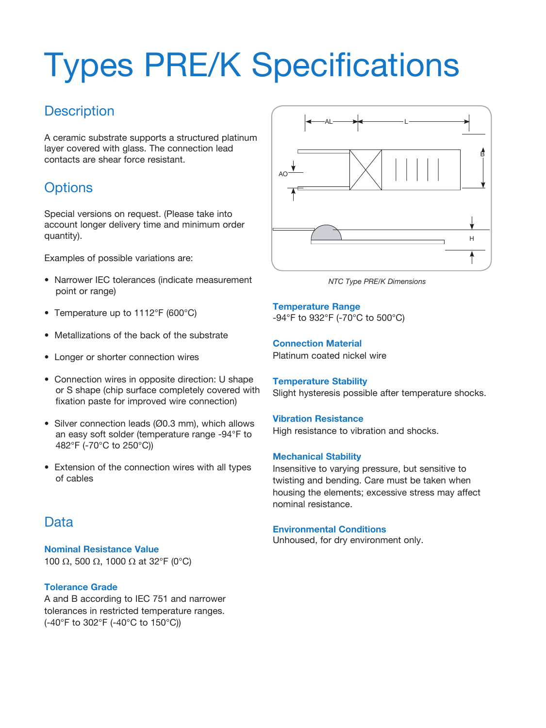# Types PRE/K Specifications

## **Description**

A ceramic substrate supports a structured platinum layer covered with glass. The connection lead contacts are shear force resistant.

## **Options**

Special versions on request. (Please take into account longer delivery time and minimum order quantity).

Examples of possible variations are:

- Narrower IEC tolerances (indicate measurement point or range)
- Temperature up to 1112°F (600°C)
- Metallizations of the back of the substrate
- Longer or shorter connection wires
- Connection wires in opposite direction: U shape or S shape (chip surface completely covered with fixation paste for improved wire connection)
- Silver connection leads (Ø0.3 mm), which allows an easy soft solder (temperature range -94°F to 482°F (-70°C to 250°C))
- Extension of the connection wires with all types of cables

## **Data**

**Nominal Resistance Value** 100  $\Omega$ , 500  $\Omega$ , 1000  $\Omega$  at 32°F (0°C)

#### **Tolerance Grade**

A and B according to IEC 751 and narrower tolerances in restricted temperature ranges. (-40°F to 302°F (-40°C to 150°C))



*NTC Type PRE/K Dimensions*

**Temperature Range** -94°F to 932°F (-70°C to 500°C)

**Connection Material** Platinum coated nickel wire

#### **Temperature Stability** Slight hysteresis possible after temperature shocks.

#### **Vibration Resistance**

High resistance to vibration and shocks.

#### **Mechanical Stability**

Insensitive to varying pressure, but sensitive to twisting and bending. Care must be taken when housing the elements; excessive stress may affect nominal resistance.

#### **Environmental Conditions**

Unhoused, for dry environment only.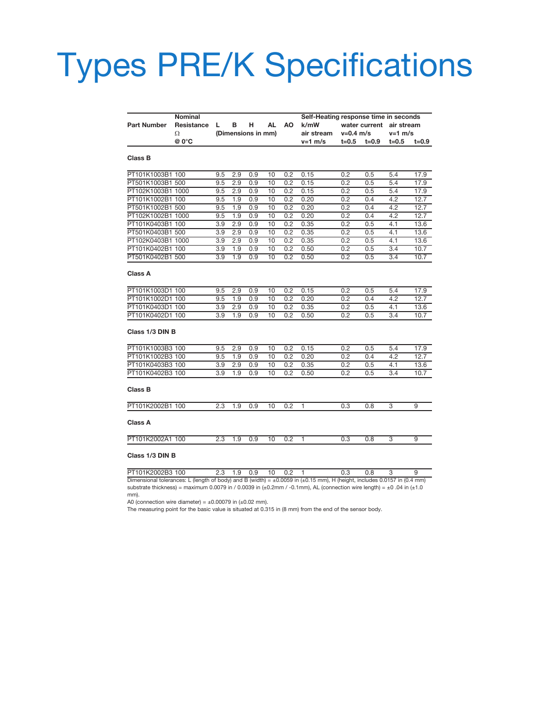## Types PRE/K Specifications

|                    |                                                     |                         |     |     |    |     | Self-Heating response time in seconds |       |           |            |       |
|--------------------|-----------------------------------------------------|-------------------------|-----|-----|----|-----|---------------------------------------|-------|-----------|------------|-------|
| <b>Part Number</b> | <b>Nominal</b><br>Resistance<br>в<br>н<br>AL<br>AO. |                         |     |     |    |     | k/mW<br>water current                 |       |           | air stream |       |
|                    | Ω                                                   | L<br>(Dimensions in mm) |     |     |    |     | air stream<br>$v = 0.4$ m/s           |       | $v=1$ m/s |            |       |
|                    | @ 0°C                                               |                         |     |     |    |     | $v=1$ m/s                             | t=0.5 | t=0.9     | $t = 0.5$  | t=0.9 |
|                    |                                                     |                         |     |     |    |     |                                       |       |           |            |       |
| Class B            |                                                     |                         |     |     |    |     |                                       |       |           |            |       |
| PT101K1003B1 100   |                                                     | 9.5                     | 2.9 | 0.9 | 10 | 0.2 | 0.15                                  | 0.2   | 0.5       | 5.4        | 17.9  |
| PT501K1003B1 500   |                                                     | 9.5                     | 2.9 | 0.9 | 10 | 0.2 | 0.15                                  | 0.2   | 0.5       | 5.4        | 17.9  |
| PT102K1003B1 1000  |                                                     | 9.5                     | 2.9 | 0.9 | 10 | 0.2 | 0.15                                  | 0.2   | 0.5       | 5.4        | 17.9  |
| PT101K1002B1 100   |                                                     | 9.5                     | 1.9 | 0.9 | 10 | 0.2 | 0.20                                  | 0.2   | 0.4       | 4.2        | 12.7  |
| PT501K1002B1 500   |                                                     | 9.5                     | 1.9 | 0.9 | 10 | 0.2 | 0.20                                  | 0.2   | 0.4       | 4.2        | 12.7  |
| PT102K1002B1 1000  |                                                     | 9.5                     | 1.9 | 0.9 | 10 | 0.2 | 0.20                                  | 0.2   | 0.4       | 4.2        | 12.7  |
| PT101K0403B1 100   |                                                     | 3.9                     | 2.9 | 0.9 | 10 | 0.2 | 0.35                                  | 0.2   | 0.5       | 4.1        | 13.6  |
| PT501K0403B1 500   |                                                     | 3.9                     | 2.9 | 0.9 | 10 | 0.2 | 0.35                                  | 0.2   | 0.5       | 4.1        | 13.6  |
| PT102K0403B1 1000  |                                                     | 3.9                     | 2.9 | 0.9 | 10 | 0.2 | 0.35                                  | 0.2   | 0.5       | 4.1        | 13.6  |
| PT101K0402B1 100   |                                                     | 3.9                     | 1.9 | 0.9 | 10 | 0.2 | 0.50                                  | 0.2   | 0.5       | 3.4        | 10.7  |
| PT501K0402B1 500   |                                                     | 3.9                     | 1.9 | 0.9 | 10 | 02  | 0.50                                  | 0.2   | 0.5       | 3.4        | 10.7  |
| Class A            |                                                     |                         |     |     |    |     |                                       |       |           |            |       |
| PT101K1003D1 100   |                                                     | 9.5                     | 2.9 | 0.9 | 10 | 0.2 | 0.15                                  | 0.2   | 0.5       | 5.4        | 17.9  |
| PT101K1002D1 100   |                                                     | 9.5                     | 1.9 | 0.9 | 10 | 0.2 | 0.20                                  | 0.2   | 0.4       | 4.2        | 12.7  |
| PT101K0403D1 100   |                                                     | 3.9                     | 2.9 | 0.9 | 10 | 0.2 | 0.35                                  | 0.2   | 0.5       | 4.1        | 13.6  |
| PT101K0402D1 100   |                                                     | 3.9                     | 1.9 | 0.9 | 10 | 0.2 | 0.50                                  | 0.2   | 0.5       | 3.4        | 10.7  |
| Class 1/3 DIN B    |                                                     |                         |     |     |    |     |                                       |       |           |            |       |
| PT101K1003B3 100   |                                                     | 9.5                     | 2.9 | 0.9 | 10 | 0.2 | 0.15                                  | 0.2   | 0.5       | 5.4        | 17.9  |
| PT101K1002B3 100   |                                                     | 9.5                     | 1.9 | 0.9 | 10 | 0.2 | 0.20                                  | 0.2   | 0.4       | 4.2        | 12.7  |
| PT101K0403B3 100   |                                                     | 3.9                     | 2.9 | 0.9 | 10 | 0.2 | 0.35                                  | 0.2   | 0.5       | 4.1        | 13.6  |
| PT101K0402B3 100   |                                                     | 3.9                     | 1.9 | 0.9 | 10 | 0.2 | 0.50                                  | 0.2   | 0.5       | 3.4        | 10.7  |
| Class B            |                                                     |                         |     |     |    |     |                                       |       |           |            |       |
| PT101K2002B1 100   |                                                     | 2.3                     | 1.9 | 0.9 | 10 | 0.2 | 1                                     | 0.3   | 0.8       | 3          | 9     |
| <b>Class A</b>     |                                                     |                         |     |     |    |     |                                       |       |           |            |       |
| PT101K2002A1 100   |                                                     | 2.3                     | 1.9 | 0.9 | 10 | 0.2 | 1                                     | 0.3   | 0.8       | 3          | 9     |
|                    |                                                     |                         |     |     |    |     |                                       |       |           |            |       |

#### **Class 1/3 DIN B**

PT101K2002B3 100 2.3 1.9 0.9 10 0.2 1 0.3 0.8 3 9 Dimensional tolerances: L (length of body) and B (width) = ±0.0059 in (±0.15 mm), H (height, includes 0.0157 in (0.4 mm) substrate thickness) = maximum 0.0079 in / 0.0039 in (±0.2mm / -0.1mm), AL (connection wire length) = ±0 .04 in (±1.0 mm).

A0 (connection wire diameter) =  $\pm 0.00079$  in ( $\pm 0.02$  mm).

The measuring point for the basic value is situated at 0.315 in (8 mm) from the end of the sensor body.